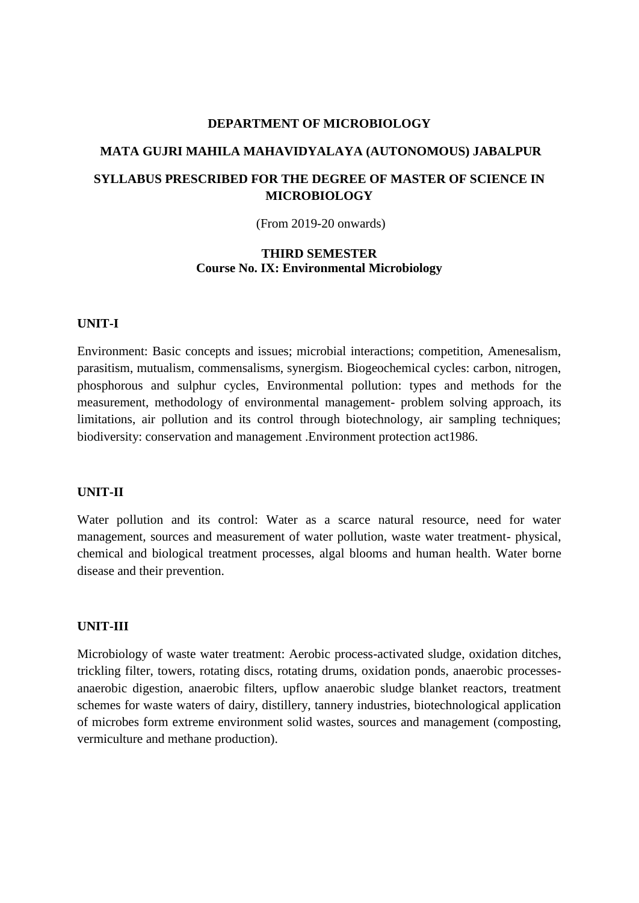## **MATA GUJRI MAHILA MAHAVIDYALAYA (AUTONOMOUS) JABALPUR SYLLABUS PRESCRIBED FOR THE DEGREE OF MASTER OF SCIENCE IN MICROBIOLOGY**

(From 2019-20 onwards)

## **THIRD SEMESTER Course No. IX: Environmental Microbiology**

#### **UNIT-I**

Environment: Basic concepts and issues; microbial interactions; competition, Amenesalism, parasitism, mutualism, commensalisms, synergism. Biogeochemical cycles: carbon, nitrogen, phosphorous and sulphur cycles, Environmental pollution: types and methods for the measurement, methodology of environmental management- problem solving approach, its limitations, air pollution and its control through biotechnology, air sampling techniques; biodiversity: conservation and management .Environment protection act1986.

#### **UNIT-II**

Water pollution and its control: Water as a scarce natural resource, need for water management, sources and measurement of water pollution, waste water treatment- physical, chemical and biological treatment processes, algal blooms and human health. Water borne disease and their prevention.

#### **UNIT-III**

Microbiology of waste water treatment: Aerobic process-activated sludge, oxidation ditches, trickling filter, towers, rotating discs, rotating drums, oxidation ponds, anaerobic processesanaerobic digestion, anaerobic filters, upflow anaerobic sludge blanket reactors, treatment schemes for waste waters of dairy, distillery, tannery industries, biotechnological application of microbes form extreme environment solid wastes, sources and management (composting, vermiculture and methane production).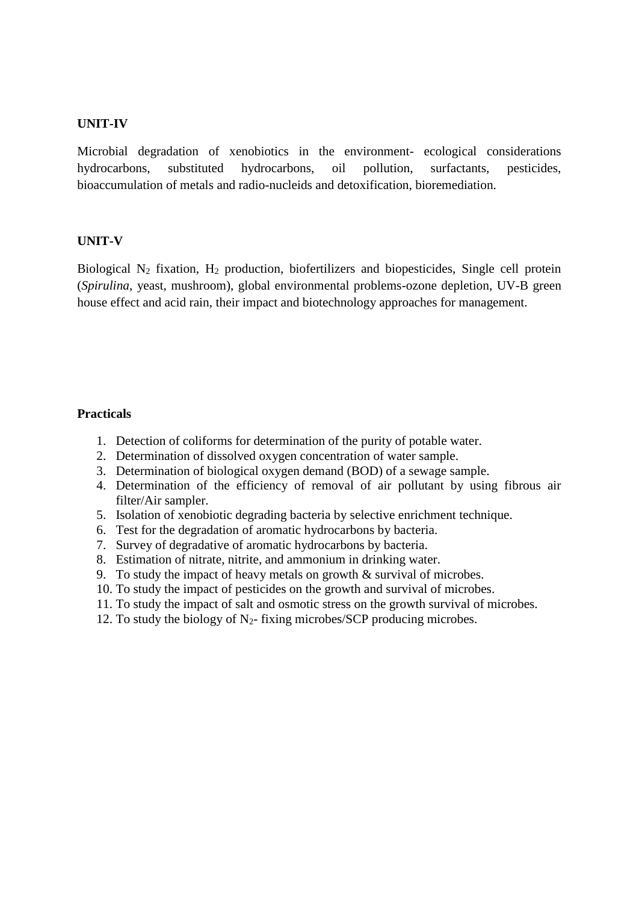#### **UNIT-IV**

Microbial degradation of xenobiotics in the environment- ecological considerations hydrocarbons, substituted hydrocarbons, oil pollution, surfactants, pesticides, bioaccumulation of metals and radio-nucleids and detoxification, bioremediation.

#### **UNIT-V**

Biological  $N_2$  fixation,  $H_2$  production, biofertilizers and biopesticides, Single cell protein (*Spirulina*, yeast, mushroom), global environmental problems-ozone depletion, UV-B green house effect and acid rain, their impact and biotechnology approaches for management.

#### **Practicals**

- 1. Detection of coliforms for determination of the purity of potable water.
- 2. Determination of dissolved oxygen concentration of water sample.
- 3. Determination of biological oxygen demand (BOD) of a sewage sample.
- 4. Determination of the efficiency of removal of air pollutant by using fibrous air filter/Air sampler.
- 5. Isolation of xenobiotic degrading bacteria by selective enrichment technique.
- 6. Test for the degradation of aromatic hydrocarbons by bacteria.
- 7. Survey of degradative of aromatic hydrocarbons by bacteria.
- 8. Estimation of nitrate, nitrite, and ammonium in drinking water.
- 9. To study the impact of heavy metals on growth & survival of microbes.
- 10. To study the impact of pesticides on the growth and survival of microbes.
- 11. To study the impact of salt and osmotic stress on the growth survival of microbes.
- 12. To study the biology of  $N_2$  fixing microbes/SCP producing microbes.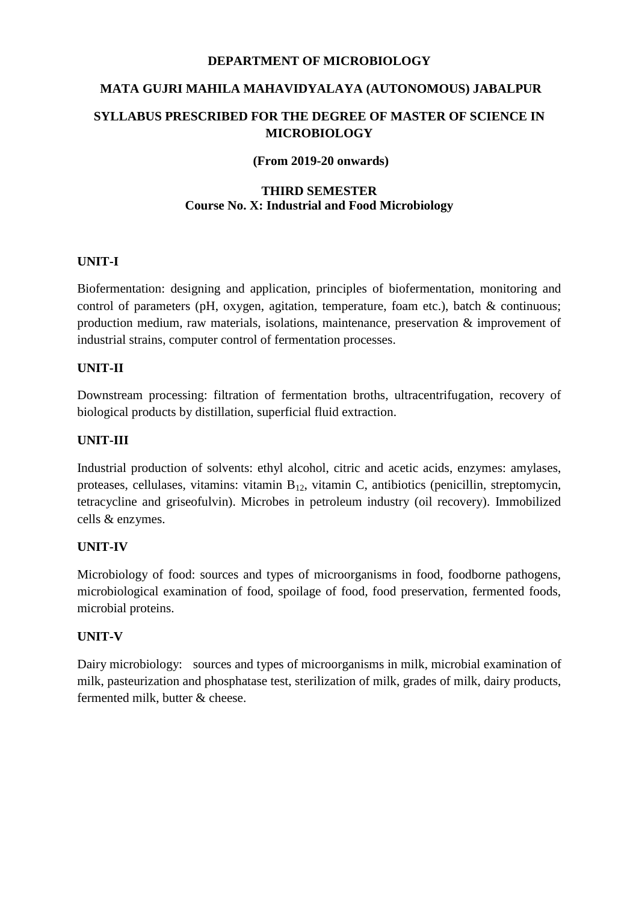# **MATA GUJRI MAHILA MAHAVIDYALAYA (AUTONOMOUS) JABALPUR SYLLABUS PRESCRIBED FOR THE DEGREE OF MASTER OF SCIENCE IN MICROBIOLOGY**

#### **(From 2019-20 onwards)**

#### **THIRD SEMESTER Course No. X: Industrial and Food Microbiology**

## **UNIT-I**

Biofermentation: designing and application, principles of biofermentation, monitoring and control of parameters (pH, oxygen, agitation, temperature, foam etc.), batch & continuous; production medium, raw materials, isolations, maintenance, preservation & improvement of industrial strains, computer control of fermentation processes.

## **UNIT-II**

Downstream processing: filtration of fermentation broths, ultracentrifugation, recovery of biological products by distillation, superficial fluid extraction.

## **UNIT-III**

Industrial production of solvents: ethyl alcohol, citric and acetic acids, enzymes: amylases, proteases, cellulases, vitamins: vitamin  $B_{12}$ , vitamin C, antibiotics (penicillin, streptomycin, tetracycline and griseofulvin). Microbes in petroleum industry (oil recovery). Immobilized cells & enzymes.

## **UNIT-IV**

Microbiology of food: sources and types of microorganisms in food, foodborne pathogens, microbiological examination of food, spoilage of food, food preservation, fermented foods, microbial proteins.

## **UNIT-V**

Dairy microbiology: sources and types of microorganisms in milk, microbial examination of milk, pasteurization and phosphatase test, sterilization of milk, grades of milk, dairy products, fermented milk, butter & cheese.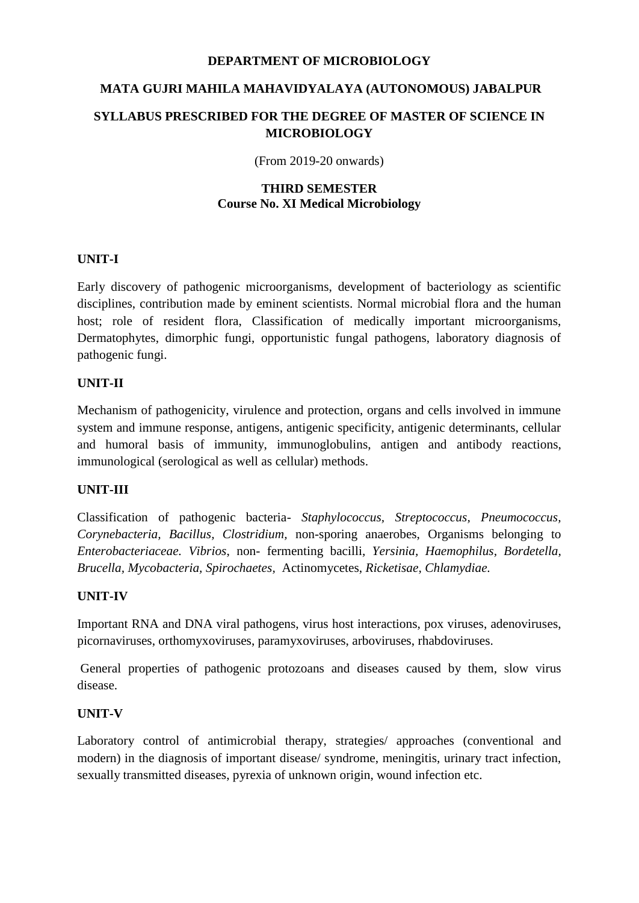## **MATA GUJRI MAHILA MAHAVIDYALAYA (AUTONOMOUS) JABALPUR**

## **SYLLABUS PRESCRIBED FOR THE DEGREE OF MASTER OF SCIENCE IN MICROBIOLOGY**

(From 2019-20 onwards)

## **THIRD SEMESTER Course No. XI Medical Microbiology**

## **UNIT-I**

Early discovery of pathogenic microorganisms, development of bacteriology as scientific disciplines, contribution made by eminent scientists. Normal microbial flora and the human host; role of resident flora, Classification of medically important microorganisms, Dermatophytes, dimorphic fungi, opportunistic fungal pathogens, laboratory diagnosis of pathogenic fungi.

## **UNIT-II**

Mechanism of pathogenicity, virulence and protection, organs and cells involved in immune system and immune response, antigens, antigenic specificity, antigenic determinants, cellular and humoral basis of immunity, immunoglobulins, antigen and antibody reactions, immunological (serological as well as cellular) methods.

## **UNIT-III**

Classification of pathogenic bacteria- *Staphylococcus, Streptococcus, Pneumococcus, Corynebacteria, Bacillus, Clostridium,* non-sporing anaerobes, Organisms belonging to *Enterobacteriaceae. Vibrios*, non- fermenting bacilli*, Yersinia, Haemophilus, Bordetella, Brucella, Mycobacteria, Spirochaetes,* Actinomycetes, *Ricketisae, Chlamydiae.*

## **UNIT-IV**

Important RNA and DNA viral pathogens, virus host interactions, pox viruses, adenoviruses, picornaviruses, orthomyxoviruses, paramyxoviruses, arboviruses, rhabdoviruses.

General properties of pathogenic protozoans and diseases caused by them, slow virus disease.

## **UNIT-V**

Laboratory control of antimicrobial therapy, strategies/ approaches (conventional and modern) in the diagnosis of important disease/ syndrome, meningitis, urinary tract infection, sexually transmitted diseases, pyrexia of unknown origin, wound infection etc.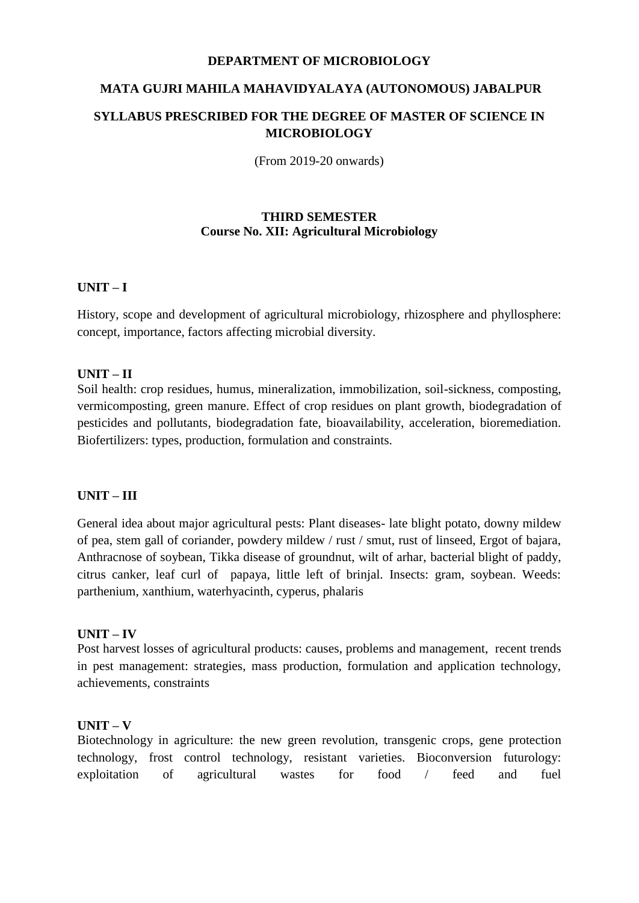## **MATA GUJRI MAHILA MAHAVIDYALAYA (AUTONOMOUS) JABALPUR SYLLABUS PRESCRIBED FOR THE DEGREE OF MASTER OF SCIENCE IN MICROBIOLOGY**

(From 2019-20 onwards)

#### **THIRD SEMESTER Course No. XII: Agricultural Microbiology**

#### **UNIT – I**

History, scope and development of agricultural microbiology, rhizosphere and phyllosphere: concept, importance, factors affecting microbial diversity.

#### **UNIT – II**

Soil health: crop residues, humus, mineralization, immobilization, soil-sickness, composting, vermicomposting, green manure. Effect of crop residues on plant growth, biodegradation of pesticides and pollutants, biodegradation fate, bioavailability, acceleration, bioremediation. Biofertilizers: types, production, formulation and constraints.

#### **UNIT – III**

General idea about major agricultural pests: Plant diseases- late blight potato, downy mildew of pea, stem gall of coriander, powdery mildew / rust / smut, rust of linseed, Ergot of bajara, Anthracnose of soybean, Tikka disease of groundnut, wilt of arhar, bacterial blight of paddy, citrus canker, leaf curl of papaya, little left of brinjal. Insects: gram, soybean. Weeds: parthenium, xanthium, waterhyacinth, cyperus, phalaris

#### **UNIT – IV**

Post harvest losses of agricultural products: causes, problems and management, recent trends in pest management: strategies, mass production, formulation and application technology, achievements, constraints

#### **UNIT – V**

Biotechnology in agriculture: the new green revolution, transgenic crops, gene protection technology, frost control technology, resistant varieties. Bioconversion futurology: exploitation of agricultural wastes for food / feed and fuel